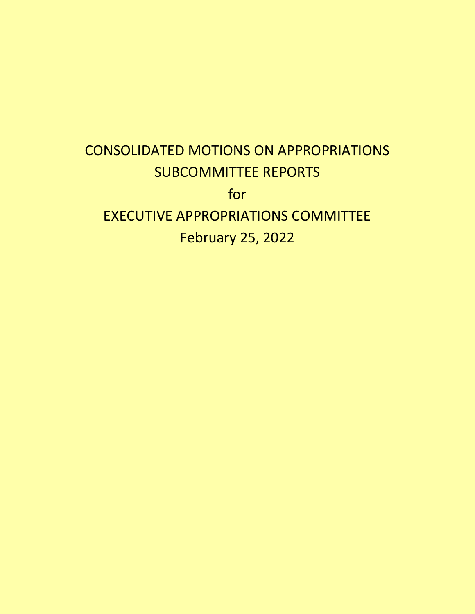# CONSOLIDATED MOTIONS ON APPROPRIATIONS SUBCOMMITTEE REPORTS for EXECUTIVE APPROPRIATIONS COMMITTEE February 25, 2022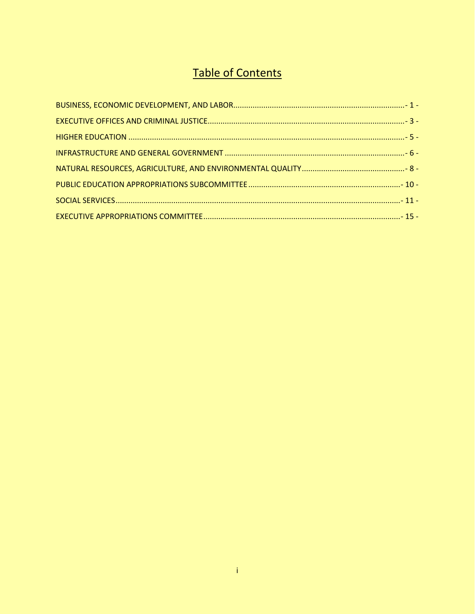### **Table of Contents**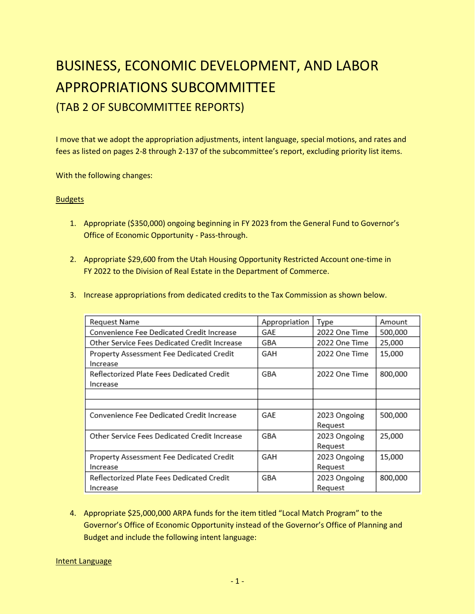### <span id="page-2-0"></span>BUSINESS, ECONOMIC DEVELOPMENT, AND LABOR APPROPRIATIONS SUBCOMMITTEE (TAB 2 OF SUBCOMMITTEE REPORTS)

I move that we adopt the appropriation adjustments, intent language, special motions, and rates and fees as listed on pages 2-8 through 2-137 of the subcommittee's report, excluding priority list items.

With the following changes:

#### **Budgets**

- 1. Appropriate (\$350,000) ongoing beginning in FY 2023 from the General Fund to Governor's Office of Economic Opportunity - Pass-through.
- 2. Appropriate \$29,600 from the Utah Housing Opportunity Restricted Account one-time in FY 2022 to the Division of Real Estate in the Department of Commerce.
- 3. Increase appropriations from dedicated credits to the Tax Commission as shown below.

| Request Name                                          | Appropriation | Type                    | Amount  |
|-------------------------------------------------------|---------------|-------------------------|---------|
| Convenience Fee Dedicated Credit Increase             | GAE           | 2022 One Time           | 500,000 |
| Other Service Fees Dedicated Credit Increase          | GBA           | 2022 One Time           | 25,000  |
| Property Assessment Fee Dedicated Credit<br>Increase  | GAH           | 2022 One Time           | 15,000  |
| Reflectorized Plate Fees Dedicated Credit<br>Increase | GBA           | 2022 One Time           | 800,000 |
|                                                       |               |                         |         |
|                                                       |               |                         |         |
| Convenience Fee Dedicated Credit Increase             | GAE           | 2023 Ongoing<br>Reguest | 500,000 |
| Other Service Fees Dedicated Credit Increase          | GBA           | 2023 Ongoing<br>Reguest | 25,000  |
| Property Assessment Fee Dedicated Credit              | GAH           | 2023 Ongoing            | 15,000  |
| Increase                                              |               | Request                 |         |
| Reflectorized Plate Fees Dedicated Credit             | GBA           | 2023 Ongoing            | 800,000 |
| Increase                                              |               | Reguest                 |         |

4. Appropriate \$25,000,000 ARPA funds for the item titled "Local Match Program" to the Governor's Office of Economic Opportunity instead of the Governor's Office of Planning and Budget and include the following intent language:

Intent Language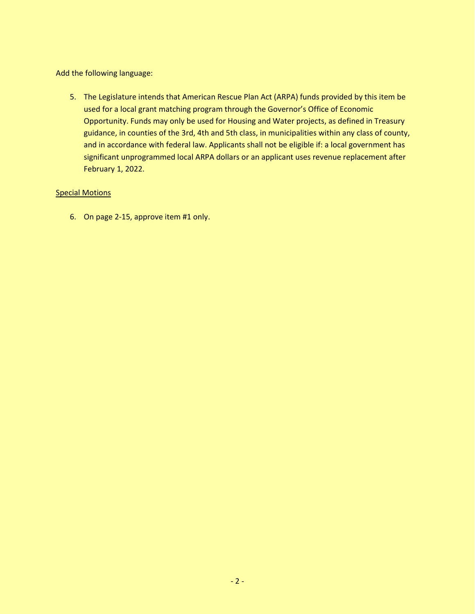Add the following language:

5. The Legislature intends that American Rescue Plan Act (ARPA) funds provided by this item be used for a local grant matching program through the Governor's Office of Economic Opportunity. Funds may only be used for Housing and Water projects, as defined in Treasury guidance, in counties of the 3rd, 4th and 5th class, in municipalities within any class of county, and in accordance with federal law. Applicants shall not be eligible if: a local government has significant unprogrammed local ARPA dollars or an applicant uses revenue replacement after February 1, 2022.

#### **Special Motions**

6. On page 2-15, approve item #1 only.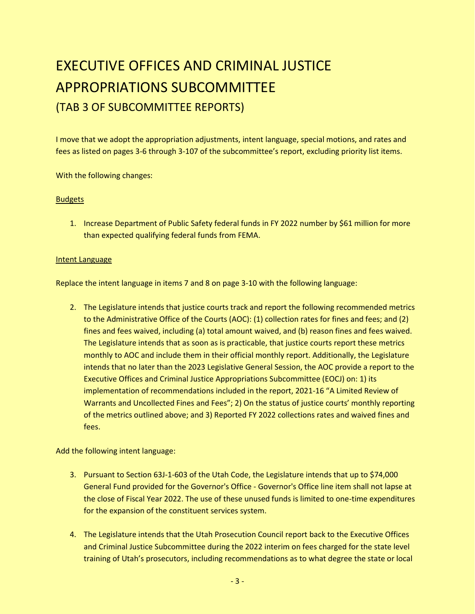## <span id="page-4-0"></span>EXECUTIVE OFFICES AND CRIMINAL JUSTICE APPROPRIATIONS SUBCOMMITTEE (TAB 3 OF SUBCOMMITTEE REPORTS)

I move that we adopt the appropriation adjustments, intent language, special motions, and rates and fees as listed on pages 3-6 through 3-107 of the subcommittee's report, excluding priority list items.

With the following changes:

#### **Budgets**

1. Increase Department of Public Safety federal funds in FY 2022 number by \$61 million for more than expected qualifying federal funds from FEMA.

#### **Intent Language**

Replace the intent language in items 7 and 8 on page 3-10 with the following language:

2. The Legislature intends that justice courts track and report the following recommended metrics to the Administrative Office of the Courts (AOC): (1) collection rates for fines and fees; and (2) fines and fees waived, including (a) total amount waived, and (b) reason fines and fees waived. The Legislature intends that as soon as is practicable, that justice courts report these metrics monthly to AOC and include them in their official monthly report. Additionally, the Legislature intends that no later than the 2023 Legislative General Session, the AOC provide a report to the Executive Offices and Criminal Justice Appropriations Subcommittee (EOCJ) on: 1) its implementation of recommendations included in the report, 2021-16 "A Limited Review of Warrants and Uncollected Fines and Fees"; 2) On the status of justice courts' monthly reporting of the metrics outlined above; and 3) Reported FY 2022 collections rates and waived fines and fees.

Add the following intent language:

- 3. Pursuant to Section 63J-1-603 of the Utah Code, the Legislature intends that up to \$74,000 General Fund provided for the Governor's Office - Governor's Office line item shall not lapse at the close of Fiscal Year 2022. The use of these unused funds is limited to one-time expenditures for the expansion of the constituent services system.
- 4. The Legislature intends that the Utah Prosecution Council report back to the Executive Offices and Criminal Justice Subcommittee during the 2022 interim on fees charged for the state level training of Utah's prosecutors, including recommendations as to what degree the state or local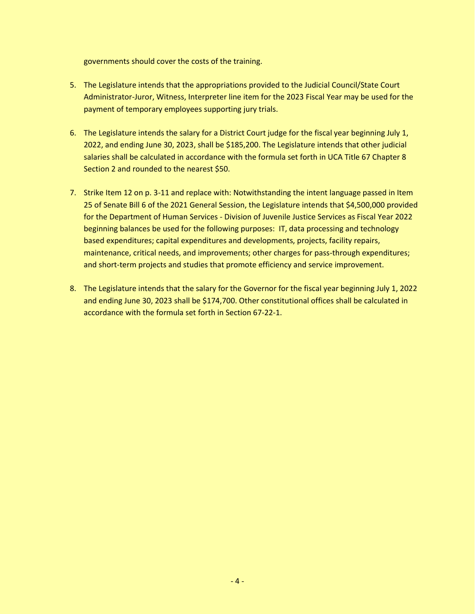governments should cover the costs of the training.

- 5. The Legislature intends that the appropriations provided to the Judicial Council/State Court Administrator-Juror, Witness, Interpreter line item for the 2023 Fiscal Year may be used for the payment of temporary employees supporting jury trials.
- 6. The Legislature intends the salary for a District Court judge for the fiscal year beginning July 1, 2022, and ending June 30, 2023, shall be \$185,200. The Legislature intends that other judicial salaries shall be calculated in accordance with the formula set forth in UCA Title 67 Chapter 8 Section 2 and rounded to the nearest \$50.
- 7. Strike Item 12 on p. 3-11 and replace with: Notwithstanding the intent language passed in Item 25 of Senate Bill 6 of the 2021 General Session, the Legislature intends that \$4,500,000 provided for the Department of Human Services - Division of Juvenile Justice Services as Fiscal Year 2022 beginning balances be used for the following purposes: IT, data processing and technology based expenditures; capital expenditures and developments, projects, facility repairs, maintenance, critical needs, and improvements; other charges for pass-through expenditures; and short-term projects and studies that promote efficiency and service improvement.
- 8. The Legislature intends that the salary for the Governor for the fiscal year beginning July 1, 2022 and ending June 30, 2023 shall be \$174,700. Other constitutional offices shall be calculated in accordance with the formula set forth in Section 67‐22‐1.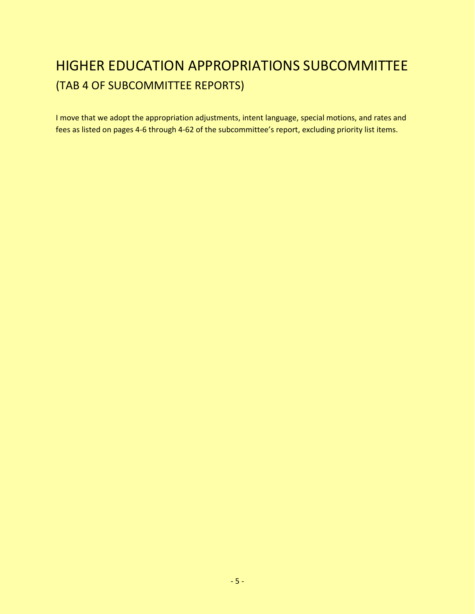### <span id="page-6-0"></span>HIGHER EDUCATION APPROPRIATIONS SUBCOMMITTEE (TAB 4 OF SUBCOMMITTEE REPORTS)

I move that we adopt the appropriation adjustments, intent language, special motions, and rates and fees as listed on pages 4-6 through 4-62 of the subcommittee's report, excluding priority list items.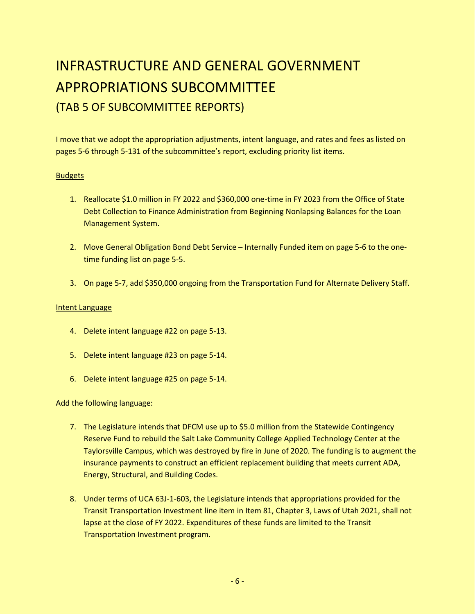### <span id="page-7-0"></span>INFRASTRUCTURE AND GENERAL GOVERNMENT APPROPRIATIONS SUBCOMMITTEE (TAB 5 OF SUBCOMMITTEE REPORTS)

I move that we adopt the appropriation adjustments, intent language, and rates and fees as listed on pages 5-6 through 5-131 of the subcommittee's report, excluding priority list items.

#### Budgets

- 1. Reallocate \$1.0 million in FY 2022 and \$360,000 one-time in FY 2023 from the Office of State Debt Collection to Finance Administration from Beginning Nonlapsing Balances for the Loan Management System.
- 2. Move General Obligation Bond Debt Service Internally Funded item on page 5-6 to the onetime funding list on page 5-5.
- 3. On page 5-7, add \$350,000 ongoing from the Transportation Fund for Alternate Delivery Staff.

#### Intent Language

- 4. Delete intent language #22 on page 5-13.
- 5. Delete intent language #23 on page 5-14.
- 6. Delete intent language #25 on page 5-14.

Add the following language:

- 7. The Legislature intends that DFCM use up to \$5.0 million from the Statewide Contingency Reserve Fund to rebuild the Salt Lake Community College Applied Technology Center at the Taylorsville Campus, which was destroyed by fire in June of 2020. The funding is to augment the insurance payments to construct an efficient replacement building that meets current ADA, Energy, Structural, and Building Codes.
- 8. Under terms of UCA 63J-1-603, the Legislature intends that appropriations provided for the Transit Transportation Investment line item in Item 81, Chapter 3, Laws of Utah 2021, shall not lapse at the close of FY 2022. Expenditures of these funds are limited to the Transit Transportation Investment program.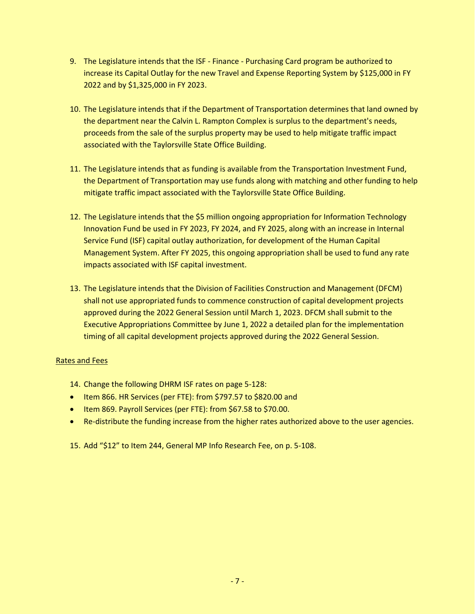- 9. The Legislature intends that the ISF Finance Purchasing Card program be authorized to increase its Capital Outlay for the new Travel and Expense Reporting System by \$125,000 in FY 2022 and by \$1,325,000 in FY 2023.
- 10. The Legislature intends that if the Department of Transportation determines that land owned by the department near the Calvin L. Rampton Complex is surplus to the department's needs, proceeds from the sale of the surplus property may be used to help mitigate traffic impact associated with the Taylorsville State Office Building.
- 11. The Legislature intends that as funding is available from the Transportation Investment Fund, the Department of Transportation may use funds along with matching and other funding to help mitigate traffic impact associated with the Taylorsville State Office Building.
- 12. The Legislature intends that the \$5 million ongoing appropriation for Information Technology Innovation Fund be used in FY 2023, FY 2024, and FY 2025, along with an increase in Internal Service Fund (ISF) capital outlay authorization, for development of the Human Capital Management System. After FY 2025, this ongoing appropriation shall be used to fund any rate impacts associated with ISF capital investment.
- 13. The Legislature intends that the Division of Facilities Construction and Management (DFCM) shall not use appropriated funds to commence construction of capital development projects approved during the 2022 General Session until March 1, 2023. DFCM shall submit to the Executive Appropriations Committee by June 1, 2022 a detailed plan for the implementation timing of all capital development projects approved during the 2022 General Session.

#### Rates and Fees

- 14. Change the following DHRM ISF rates on page 5-128:
- Item 866. HR Services (per FTE): from \$797.57 to \$820.00 and
- Item 869. Payroll Services (per FTE): from \$67.58 to \$70.00.
- Re-distribute the funding increase from the higher rates authorized above to the user agencies.
- 15. Add "\$12" to Item 244, General MP Info Research Fee, on p. 5-108.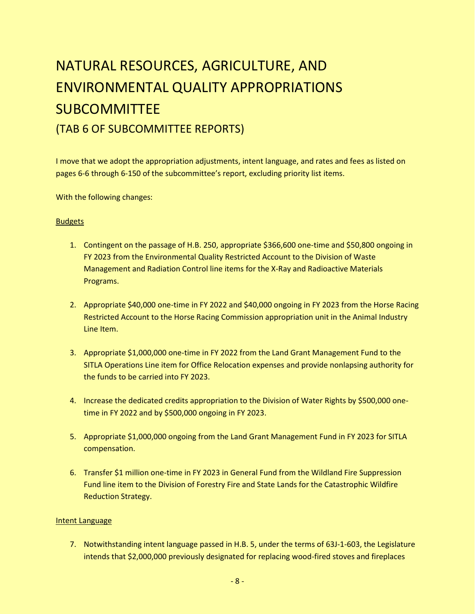# <span id="page-9-0"></span>NATURAL RESOURCES, AGRICULTURE, AND ENVIRONMENTAL QUALITY APPROPRIATIONS SUBCOMMITTEE (TAB 6 OF SUBCOMMITTEE REPORTS)

I move that we adopt the appropriation adjustments, intent language, and rates and fees as listed on pages 6-6 through 6-150 of the subcommittee's report, excluding priority list items.

With the following changes:

#### Budgets

- 1. Contingent on the passage of H.B. 250, appropriate \$366,600 one-time and \$50,800 ongoing in FY 2023 from the Environmental Quality Restricted Account to the Division of Waste Management and Radiation Control line items for the X-Ray and Radioactive Materials Programs.
- 2. Appropriate \$40,000 one-time in FY 2022 and \$40,000 ongoing in FY 2023 from the Horse Racing Restricted Account to the Horse Racing Commission appropriation unit in the Animal Industry Line Item.
- 3. Appropriate \$1,000,000 one-time in FY 2022 from the Land Grant Management Fund to the SITLA Operations Line item for Office Relocation expenses and provide nonlapsing authority for the funds to be carried into FY 2023.
- 4. Increase the dedicated credits appropriation to the Division of Water Rights by \$500,000 onetime in FY 2022 and by \$500,000 ongoing in FY 2023.
- 5. Appropriate \$1,000,000 ongoing from the Land Grant Management Fund in FY 2023 for SITLA compensation.
- 6. Transfer \$1 million one-time in FY 2023 in General Fund from the Wildland Fire Suppression Fund line item to the Division of Forestry Fire and State Lands for the Catastrophic Wildfire Reduction Strategy.

#### Intent Language

7. Notwithstanding intent language passed in H.B. 5, under the terms of 63J-1-603, the Legislature intends that \$2,000,000 previously designated for replacing wood-fired stoves and fireplaces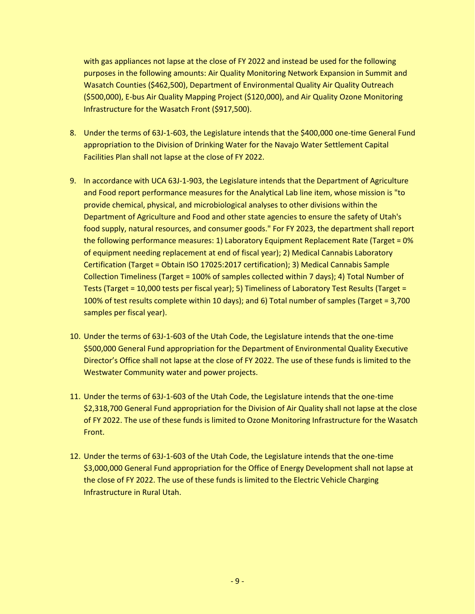with gas appliances not lapse at the close of FY 2022 and instead be used for the following purposes in the following amounts: Air Quality Monitoring Network Expansion in Summit and Wasatch Counties (\$462,500), Department of Environmental Quality Air Quality Outreach (\$500,000), E-bus Air Quality Mapping Project (\$120,000), and Air Quality Ozone Monitoring Infrastructure for the Wasatch Front (\$917,500).

- 8. Under the terms of 63J-1-603, the Legislature intends that the \$400,000 one-time General Fund appropriation to the Division of Drinking Water for the Navajo Water Settlement Capital Facilities Plan shall not lapse at the close of FY 2022.
- 9. In accordance with UCA 63J-1-903, the Legislature intends that the Department of Agriculture and Food report performance measures for the Analytical Lab line item, whose mission is "to provide chemical, physical, and microbiological analyses to other divisions within the Department of Agriculture and Food and other state agencies to ensure the safety of Utah's food supply, natural resources, and consumer goods." For FY 2023, the department shall report the following performance measures: 1) Laboratory Equipment Replacement Rate (Target = 0% of equipment needing replacement at end of fiscal year); 2) Medical Cannabis Laboratory Certification (Target = Obtain ISO 17025:2017 certification); 3) Medical Cannabis Sample Collection Timeliness (Target = 100% of samples collected within 7 days); 4) Total Number of Tests (Target = 10,000 tests per fiscal year); 5) Timeliness of Laboratory Test Results (Target = 100% of test results complete within 10 days); and 6) Total number of samples (Target = 3,700 samples per fiscal year).
- 10. Under the terms of 63J-1-603 of the Utah Code, the Legislature intends that the one-time \$500,000 General Fund appropriation for the Department of Environmental Quality Executive Director's Office shall not lapse at the close of FY 2022. The use of these funds is limited to the Westwater Community water and power projects.
- 11. Under the terms of 63J-1-603 of the Utah Code, the Legislature intends that the one-time \$2,318,700 General Fund appropriation for the Division of Air Quality shall not lapse at the close of FY 2022. The use of these funds is limited to Ozone Monitoring Infrastructure for the Wasatch Front.
- 12. Under the terms of 63J-1-603 of the Utah Code, the Legislature intends that the one-time \$3,000,000 General Fund appropriation for the Office of Energy Development shall not lapse at the close of FY 2022. The use of these funds is limited to the Electric Vehicle Charging Infrastructure in Rural Utah.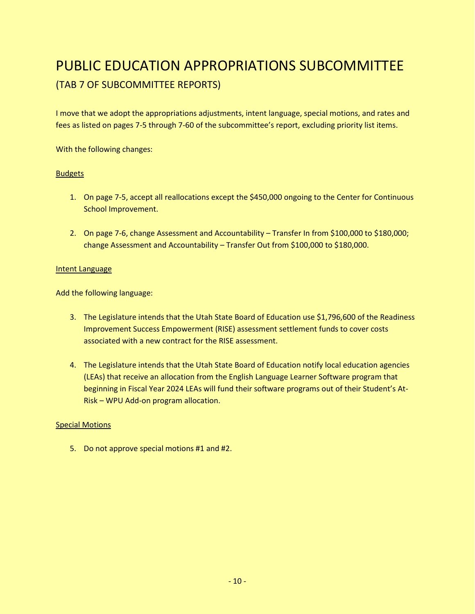### <span id="page-11-0"></span>PUBLIC EDUCATION APPROPRIATIONS SUBCOMMITTEE (TAB 7 OF SUBCOMMITTEE REPORTS)

I move that we adopt the appropriations adjustments, intent language, special motions, and rates and fees as listed on pages 7-5 through 7-60 of the subcommittee's report, excluding priority list items.

With the following changes:

#### **Budgets**

- 1. On page 7-5, accept all reallocations except the \$450,000 ongoing to the Center for Continuous School Improvement.
- 2. On page 7-6, change Assessment and Accountability Transfer In from \$100,000 to \$180,000; change Assessment and Accountability – Transfer Out from \$100,000 to \$180,000.

#### Intent Language

Add the following language:

- 3. The Legislature intends that the Utah State Board of Education use \$1,796,600 of the Readiness Improvement Success Empowerment (RISE) assessment settlement funds to cover costs associated with a new contract for the RISE assessment.
- 4. The Legislature intends that the Utah State Board of Education notify local education agencies (LEAs) that receive an allocation from the English Language Learner Software program that beginning in Fiscal Year 2024 LEAs will fund their software programs out of their Student's At-Risk – WPU Add-on program allocation.

#### Special Motions

5. Do not approve special motions #1 and #2.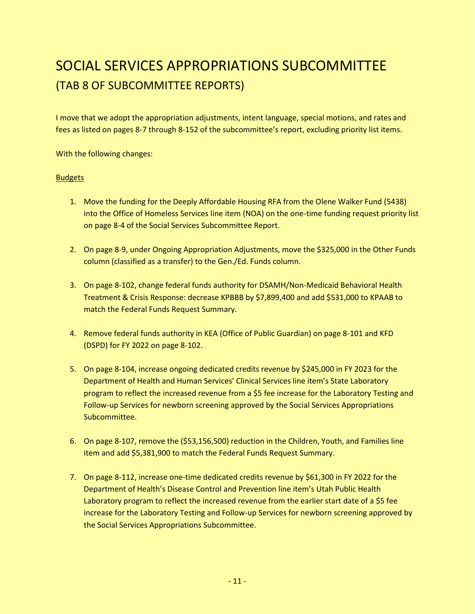### <span id="page-12-0"></span>SOCIAL SERVICES APPROPRIATIONS SUBCOMMITTEE (TAB 8 OF SUBCOMMITTEE REPORTS)

I move that we adopt the appropriation adjustments, intent language, special motions, and rates and fees as listed on pages 8-7 through 8-152 of the subcommittee's report, excluding priority list items.

With the following changes:

#### **Budgets**

- 1. Move the funding for the Deeply Affordable Housing RFA from the Olene Walker Fund (5438) into the Office of Homeless Services line item (NOA) on the one-time funding request priority list on page 8-4 of the Social Services Subcommittee Report.
- 2. On page 8-9, under Ongoing Appropriation Adjustments, move the \$325,000 in the Other Funds column (classified as a transfer) to the Gen./Ed. Funds column.
- 3. On page 8-102, change federal funds authority for DSAMH/Non-Medicaid Behavioral Health Treatment & Crisis Response: decrease KPBBB by \$7,899,400 and add \$531,000 to KPAAB to match the Federal Funds Request Summary.
- 4. Remove federal funds authority in KEA (Office of Public Guardian) on page 8-101 and KFD (DSPD) for FY 2022 on page 8-102.
- 5. On page 8-104, increase ongoing dedicated credits revenue by \$245,000 in FY 2023 for the Department of Health and Human Services' Clinical Services line item's State Laboratory program to reflect the increased revenue from a \$5 fee increase for the Laboratory Testing and Follow-up Services for newborn screening approved by the Social Services Appropriations Subcommittee.
- 6. On page 8-107, remove the (\$53,156,500) reduction in the Children, Youth, and Families line item and add \$5,381,900 to match the Federal Funds Request Summary.
- 7. On page 8-112, increase one-time dedicated credits revenue by \$61,300 in FY 2022 for the Department of Health's Disease Control and Prevention line item's Utah Public Health Laboratory program to reflect the increased revenue from the earlier start date of a \$5 fee increase for the Laboratory Testing and Follow-up Services for newborn screening approved by the Social Services Appropriations Subcommittee.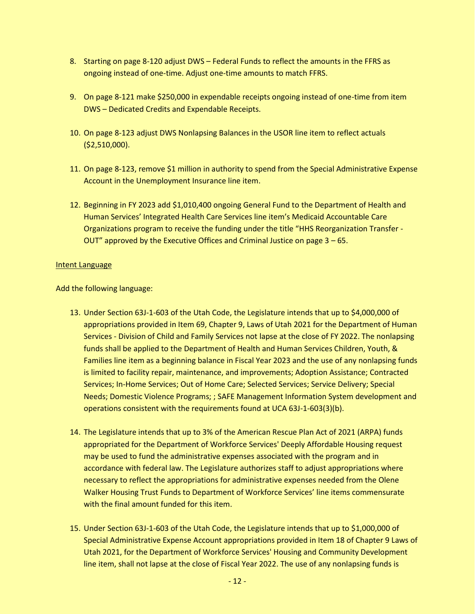- 8. Starting on page 8-120 adjust DWS Federal Funds to reflect the amounts in the FFRS as ongoing instead of one-time. Adjust one-time amounts to match FFRS.
- 9. On page 8-121 make \$250,000 in expendable receipts ongoing instead of one-time from item DWS – Dedicated Credits and Expendable Receipts.
- 10. On page 8-123 adjust DWS Nonlapsing Balances in the USOR line item to reflect actuals (\$2,510,000).
- 11. On page 8-123, remove \$1 million in authority to spend from the Special Administrative Expense Account in the Unemployment Insurance line item.
- 12. Beginning in FY 2023 add \$1,010,400 ongoing General Fund to the Department of Health and Human Services' Integrated Health Care Services line item's Medicaid Accountable Care Organizations program to receive the funding under the title "HHS Reorganization Transfer - OUT" approved by the Executive Offices and Criminal Justice on page 3 – 65.

#### Intent Language

Add the following language:

- 13. Under Section 63J-1-603 of the Utah Code, the Legislature intends that up to \$4,000,000 of appropriations provided in Item 69, Chapter 9, Laws of Utah 2021 for the Department of Human Services - Division of Child and Family Services not lapse at the close of FY 2022. The nonlapsing funds shall be applied to the Department of Health and Human Services Children, Youth, & Families line item as a beginning balance in Fiscal Year 2023 and the use of any nonlapsing funds is limited to facility repair, maintenance, and improvements; Adoption Assistance; Contracted Services; In-Home Services; Out of Home Care; Selected Services; Service Delivery; Special Needs; Domestic Violence Programs; ; SAFE Management Information System development and operations consistent with the requirements found at UCA 63J-1-603(3)(b).
- 14. The Legislature intends that up to 3% of the American Rescue Plan Act of 2021 (ARPA) funds appropriated for the Department of Workforce Services' Deeply Affordable Housing request may be used to fund the administrative expenses associated with the program and in accordance with federal law. The Legislature authorizes staff to adjust appropriations where necessary to reflect the appropriations for administrative expenses needed from the Olene Walker Housing Trust Funds to Department of Workforce Services' line items commensurate with the final amount funded for this item.
- 15. Under Section 63J-1-603 of the Utah Code, the Legislature intends that up to \$1,000,000 of Special Administrative Expense Account appropriations provided in Item 18 of Chapter 9 Laws of Utah 2021, for the Department of Workforce Services' Housing and Community Development line item, shall not lapse at the close of Fiscal Year 2022. The use of any nonlapsing funds is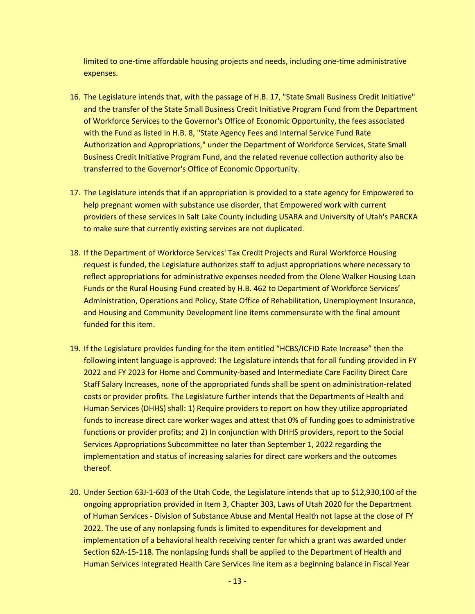limited to one-time affordable housing projects and needs, including one-time administrative expenses.

- 16. The Legislature intends that, with the passage of H.B. 17, "State Small Business Credit Initiative" and the transfer of the State Small Business Credit Initiative Program Fund from the Department of Workforce Services to the Governor's Office of Economic Opportunity, the fees associated with the Fund as listed in H.B. 8, "State Agency Fees and Internal Service Fund Rate Authorization and Appropriations," under the Department of Workforce Services, State Small Business Credit Initiative Program Fund, and the related revenue collection authority also be transferred to the Governor's Office of Economic Opportunity.
- 17. The Legislature intends that if an appropriation is provided to a state agency for Empowered to help pregnant women with substance use disorder, that Empowered work with current providers of these services in Salt Lake County including USARA and University of Utah's PARCKA to make sure that currently existing services are not duplicated.
- 18. If the Department of Workforce Services' Tax Credit Projects and Rural Workforce Housing request is funded, the Legislature authorizes staff to adjust appropriations where necessary to reflect appropriations for administrative expenses needed from the Olene Walker Housing Loan Funds or the Rural Housing Fund created by H.B. 462 to Department of Workforce Services' Administration, Operations and Policy, State Office of Rehabilitation, Unemployment Insurance, and Housing and Community Development line items commensurate with the final amount funded for this item.
- 19. If the Legislature provides funding for the item entitled "HCBS/ICFID Rate Increase" then the following intent language is approved: The Legislature intends that for all funding provided in FY 2022 and FY 2023 for Home and Community-based and Intermediate Care Facility Direct Care Staff Salary Increases, none of the appropriated funds shall be spent on administration-related costs or provider profits. The Legislature further intends that the Departments of Health and Human Services (DHHS) shall: 1) Require providers to report on how they utilize appropriated funds to increase direct care worker wages and attest that 0% of funding goes to administrative functions or provider profits; and 2) In conjunction with DHHS providers, report to the Social Services Appropriations Subcommittee no later than September 1, 2022 regarding the implementation and status of increasing salaries for direct care workers and the outcomes thereof.
- 20. Under Section 63J-1-603 of the Utah Code, the Legislature intends that up to \$12,930,100 of the ongoing appropriation provided in Item 3, Chapter 303, Laws of Utah 2020 for the Department of Human Services - Division of Substance Abuse and Mental Health not lapse at the close of FY 2022. The use of any nonlapsing funds is limited to expenditures for development and implementation of a behavioral health receiving center for which a grant was awarded under Section 62A-15-118. The nonlapsing funds shall be applied to the Department of Health and Human Services Integrated Health Care Services line item as a beginning balance in Fiscal Year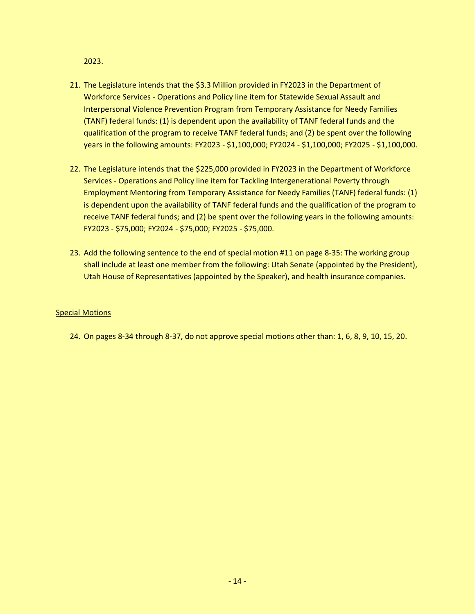2023.

- 21. The Legislature intends that the \$3.3 Million provided in FY2023 in the Department of Workforce Services - Operations and Policy line item for Statewide Sexual Assault and Interpersonal Violence Prevention Program from Temporary Assistance for Needy Families (TANF) federal funds: (1) is dependent upon the availability of TANF federal funds and the qualification of the program to receive TANF federal funds; and (2) be spent over the following years in the following amounts: FY2023 - \$1,100,000; FY2024 - \$1,100,000; FY2025 - \$1,100,000.
- 22. The Legislature intends that the \$225,000 provided in FY2023 in the Department of Workforce Services - Operations and Policy line item for Tackling Intergenerational Poverty through Employment Mentoring from Temporary Assistance for Needy Families (TANF) federal funds: (1) is dependent upon the availability of TANF federal funds and the qualification of the program to receive TANF federal funds; and (2) be spent over the following years in the following amounts: FY2023 - \$75,000; FY2024 - \$75,000; FY2025 - \$75,000.
- 23. Add the following sentence to the end of special motion #11 on page 8-35: The working group shall include at least one member from the following: Utah Senate (appointed by the President), Utah House of Representatives (appointed by the Speaker), and health insurance companies.

#### Special Motions

24. On pages 8-34 through 8-37, do not approve special motions other than: 1, 6, 8, 9, 10, 15, 20.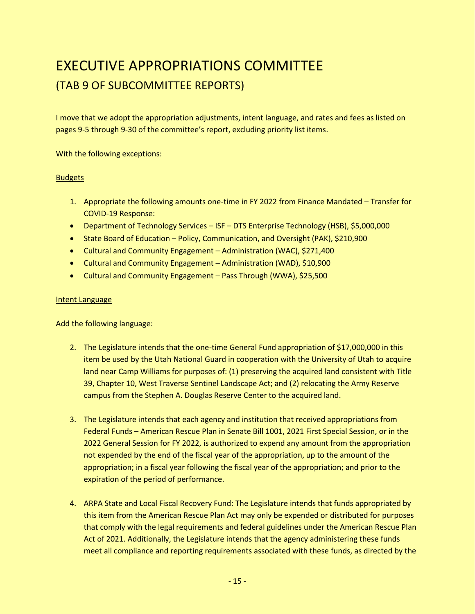### <span id="page-16-0"></span>EXECUTIVE APPROPRIATIONS COMMITTEE (TAB 9 OF SUBCOMMITTEE REPORTS)

I move that we adopt the appropriation adjustments, intent language, and rates and fees as listed on pages 9-5 through 9-30 of the committee's report, excluding priority list items.

With the following exceptions:

#### **Budgets**

- 1. Appropriate the following amounts one-time in FY 2022 from Finance Mandated Transfer for COVID-19 Response:
- Department of Technology Services ISF DTS Enterprise Technology (HSB), \$5,000,000
- State Board of Education Policy, Communication, and Oversight (PAK), \$210,900
- Cultural and Community Engagement Administration (WAC), \$271,400
- Cultural and Community Engagement Administration (WAD), \$10,900
- Cultural and Community Engagement Pass Through (WWA), \$25,500

#### Intent Language

Add the following language:

- 2. The Legislature intends that the one-time General Fund appropriation of \$17,000,000 in this item be used by the Utah National Guard in cooperation with the University of Utah to acquire land near Camp Williams for purposes of: (1) preserving the acquired land consistent with Title 39, Chapter 10, West Traverse Sentinel Landscape Act; and (2) relocating the Army Reserve campus from the Stephen A. Douglas Reserve Center to the acquired land.
- 3. The Legislature intends that each agency and institution that received appropriations from Federal Funds – American Rescue Plan in Senate Bill 1001, 2021 First Special Session, or in the 2022 General Session for FY 2022, is authorized to expend any amount from the appropriation not expended by the end of the fiscal year of the appropriation, up to the amount of the appropriation; in a fiscal year following the fiscal year of the appropriation; and prior to the expiration of the period of performance.
- 4. ARPA State and Local Fiscal Recovery Fund: The Legislature intends that funds appropriated by this item from the American Rescue Plan Act may only be expended or distributed for purposes that comply with the legal requirements and federal guidelines under the American Rescue Plan Act of 2021. Additionally, the Legislature intends that the agency administering these funds meet all compliance and reporting requirements associated with these funds, as directed by the